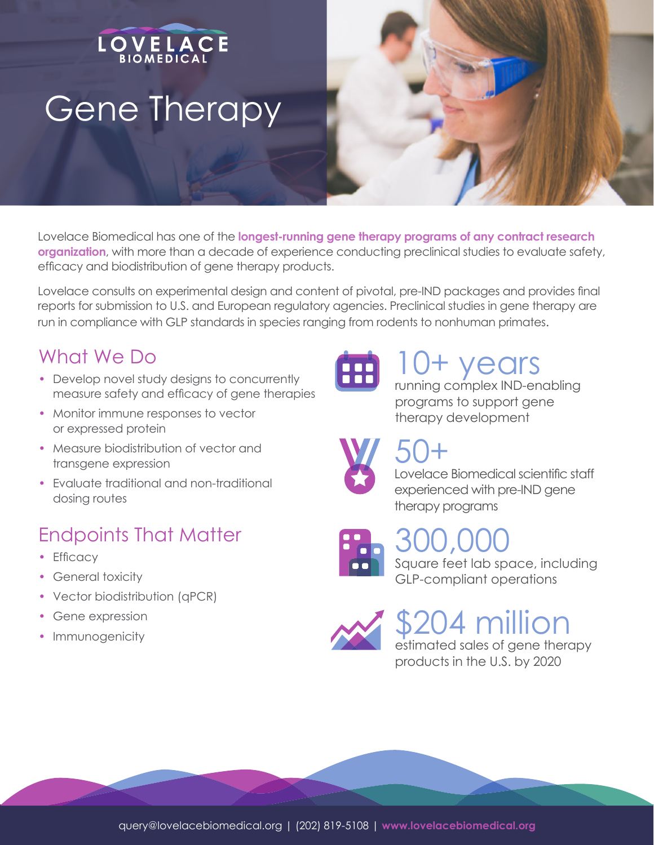# **OVELACE** Gene Therapy

Lovelace Biomedical has one of the **longest-running gene therapy programs of any contract research organization**, with more than a decade of experience conducting preclinical studies to evaluate safety, efficacy and biodistribution of gene therapy products.

Lovelace consults on experimental design and content of pivotal, pre-IND packages and provides final reports for submission to U.S. and European regulatory agencies. Preclinical studies in gene therapy are run in compliance with GLP standards in species ranging from rodents to nonhuman primates.

### What We Do

- Develop novel study designs to concurrently measure safety and efficacy of gene therapies
- Monitor immune responses to vector or expressed protein
- Measure biodistribution of vector and transgene expression
- Evaluate traditional and non-traditional dosing routes

## Endpoints That Matter

- Efficacy
- General toxicity
- Vector biodistribution (qPCR)
- Gene expression
- Immunogenicity



## *rears*

running complex IND-enabling programs to support gene therapy development

# 50+



#### Lovelace Biomedical scientific staff experienced with pre-IND gene therapy programs



# 300,000

Square feet lab space, including GLP-compliant operations



# 204 million

estimated sales of gene therapy products in the U.S. by 2020